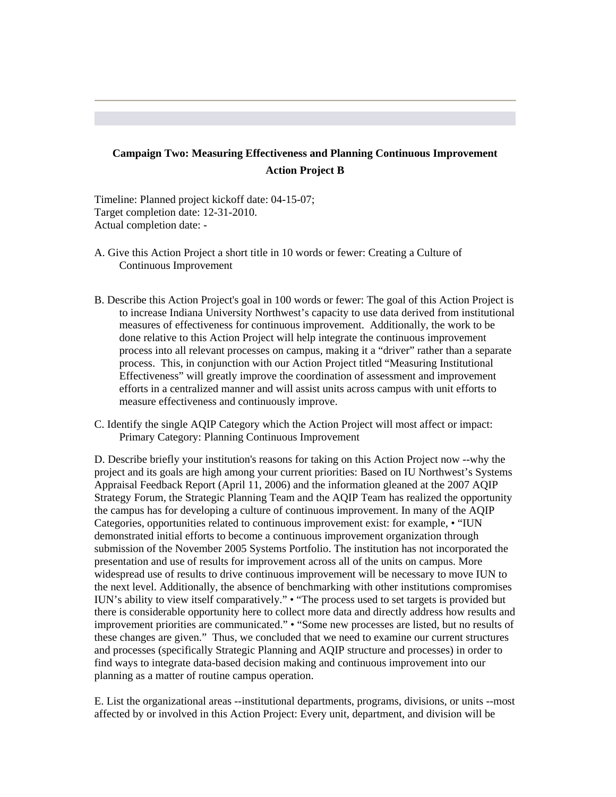## **Campaign Two: Measuring Effectiveness and Planning Continuous Improvement Action Project B**

Timeline: Planned project kickoff date: 04-15-07; Target completion date: 12-31-2010. Actual completion date: -

- A. Give this Action Project a short title in 10 words or fewer: Creating a Culture of Continuous Improvement
- B. Describe this Action Project's goal in 100 words or fewer: The goal of this Action Project is to increase Indiana University Northwest's capacity to use data derived from institutional measures of effectiveness for continuous improvement. Additionally, the work to be done relative to this Action Project will help integrate the continuous improvement process into all relevant processes on campus, making it a "driver" rather than a separate process. This, in conjunction with our Action Project titled "Measuring Institutional Effectiveness" will greatly improve the coordination of assessment and improvement efforts in a centralized manner and will assist units across campus with unit efforts to measure effectiveness and continuously improve.
- Primary Category: Planning Continuous Improvement C. Identify the single AQIP Category which the Action Project will most affect or impact:

D. Describe briefly your institution's reasons for taking on this Action Project now --why the project and its goals are high among your current priorities: Based on IU Northwest's Systems Appraisal Feedback Report (April 11, 2006) and the information gleaned at the 2007 AQIP Strategy Forum, the Strategic Planning Team and the AQIP Team has realized the opportunity the campus has for developing a culture of continuous improvement. In many of the AQIP Categories, opportunities related to continuous improvement exist: for example, • "IUN demonstrated initial efforts to become a continuous improvement organization through submission of the November 2005 Systems Portfolio. The institution has not incorporated the presentation and use of results for improvement across all of the units on campus. More widespread use of results to drive continuous improvement will be necessary to move IUN to the next level. Additionally, the absence of benchmarking with other institutions compromises IUN's ability to view itself comparatively." • "The process used to set targets is provided but there is considerable opportunity here to collect more data and directly address how results and improvement priorities are communicated." • "Some new processes are listed, but no results of these changes are given." Thus, we concluded that we need to examine our current structures and processes (specifically Strategic Planning and AQIP structure and processes) in order to find ways to integrate data-based decision making and continuous improvement into our planning as a matter of routine campus operation.

E. List the organizational areas --institutional departments, programs, divisions, or units --most affected by or involved in this Action Project: Every unit, department, and division will be